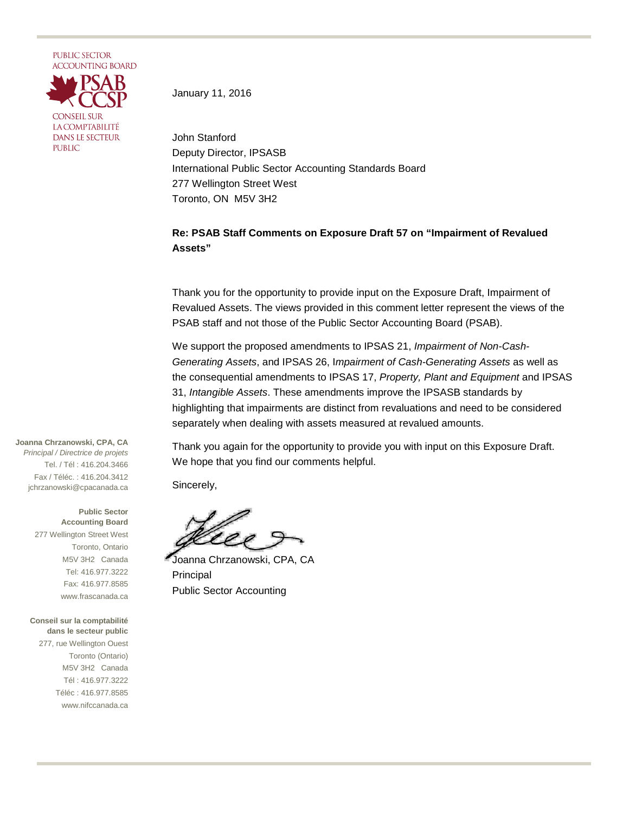

January 11, 2016

John Stanford Deputy Director, IPSASB International Public Sector Accounting Standards Board 277 Wellington Street West Toronto, ON M5V 3H2

## **Re: PSAB Staff Comments on Exposure Draft 57 on "Impairment of Revalued Assets"**

Thank you for the opportunity to provide input on the Exposure Draft, Impairment of Revalued Assets. The views provided in this comment letter represent the views of the PSAB staff and not those of the Public Sector Accounting Board (PSAB).

We support the proposed amendments to IPSAS 21, *Impairment of Non-Cash-Generating Assets*, and IPSAS 26, I*mpairment of Cash-Generating Assets* as well as the consequential amendments to IPSAS 17, *Property, Plant and Equipment* and IPSAS 31, *Intangible Assets*. These amendments improve the IPSASB standards by highlighting that impairments are distinct from revaluations and need to be considered separately when dealing with assets measured at revalued amounts.

Thank you again for the opportunity to provide you with input on this Exposure Draft. We hope that you find our comments helpful.

Sincerely,

Joanna Chrzanowski, CPA, CA Principal Public Sector Accounting

**Joanna Chrzanowski, CPA, CA** *Principal / Directrice de projets* Tel. / Tél : 416.204.3466 Fax / Téléc. : 416.204.3412 jchrzanowski@cpacanada.ca

> **Public Sector Accounting Board** 277 Wellington Street West Toronto, Ontario M5V 3H2 Canada Tel: 416.977.3222 Fax: 416.977.8585 www.frascanada.ca

**Conseil sur la comptabilité dans le secteur public** 277, rue Wellington Ouest Toronto (Ontario) M5V 3H2 Canada Tél : 416.977.3222 Téléc : 416.977.8585 www.nifccanada.ca